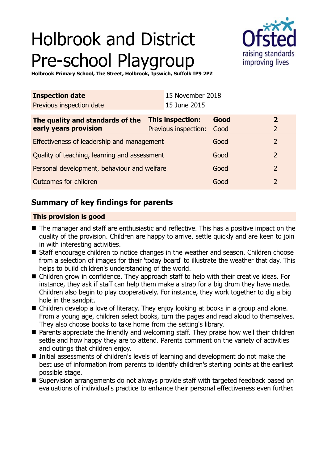# Holbrook and District Pre-school Playgroup



**Holbrook Primary School, The Street, Holbrook, Ipswich, Suffolk IP9 2PZ**

| <b>Inspection date</b>                       |                         | 15 November 2018     |      |  |                |
|----------------------------------------------|-------------------------|----------------------|------|--|----------------|
| Previous inspection date                     |                         | 15 June 2015         |      |  |                |
| The quality and standards of the             | <b>This inspection:</b> |                      | Good |  | $\overline{2}$ |
| early years provision                        |                         | Previous inspection: | Good |  | $\overline{2}$ |
| Effectiveness of leadership and management   |                         |                      | Good |  | 2              |
| Quality of teaching, learning and assessment |                         |                      | Good |  | 2              |
| Personal development, behaviour and welfare  |                         |                      | Good |  | 2              |
| Outcomes for children                        |                         |                      | Good |  | 2              |

## **Summary of key findings for parents**

## **This provision is good**

- The manager and staff are enthusiastic and reflective. This has a positive impact on the quality of the provision. Children are happy to arrive, settle quickly and are keen to join in with interesting activities.
- Staff encourage children to notice changes in the weather and season. Children choose from a selection of images for their 'today board' to illustrate the weather that day. This helps to build children's understanding of the world.
- Children grow in confidence. They approach staff to help with their creative ideas. For instance, they ask if staff can help them make a strap for a big drum they have made. Children also begin to play cooperatively. For instance, they work together to dig a big hole in the sandpit.
- Children develop a love of literacy. They enjoy looking at books in a group and alone. From a young age, children select books, turn the pages and read aloud to themselves. They also choose books to take home from the setting's library.
- Parents appreciate the friendly and welcoming staff. They praise how well their children settle and how happy they are to attend. Parents comment on the variety of activities and outings that children enjoy.
- Initial assessments of children's levels of learning and development do not make the best use of information from parents to identify children's starting points at the earliest possible stage.
- Supervision arrangements do not always provide staff with targeted feedback based on evaluations of individual's practice to enhance their personal effectiveness even further.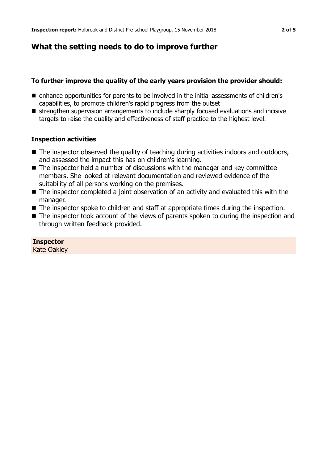## **What the setting needs to do to improve further**

## **To further improve the quality of the early years provision the provider should:**

- enhance opportunities for parents to be involved in the initial assessments of children's capabilities, to promote children's rapid progress from the outset
- strengthen supervision arrangements to include sharply focused evaluations and incisive targets to raise the quality and effectiveness of staff practice to the highest level.

## **Inspection activities**

- $\blacksquare$  The inspector observed the quality of teaching during activities indoors and outdoors, and assessed the impact this has on children's learning.
- $\blacksquare$  The inspector held a number of discussions with the manager and key committee members. She looked at relevant documentation and reviewed evidence of the suitability of all persons working on the premises.
- $\blacksquare$  The inspector completed a joint observation of an activity and evaluated this with the manager.
- $\blacksquare$  The inspector spoke to children and staff at appropriate times during the inspection.
- $\blacksquare$  The inspector took account of the views of parents spoken to during the inspection and through written feedback provided.

### **Inspector**

Kate Oakley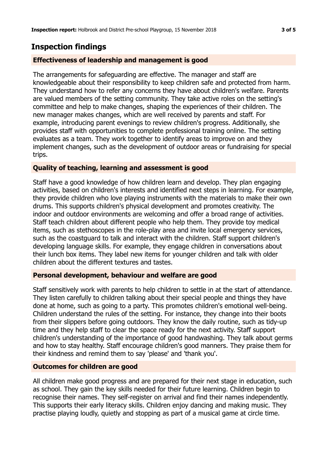## **Inspection findings**

## **Effectiveness of leadership and management is good**

The arrangements for safeguarding are effective. The manager and staff are knowledgeable about their responsibility to keep children safe and protected from harm. They understand how to refer any concerns they have about children's welfare. Parents are valued members of the setting community. They take active roles on the setting's committee and help to make changes, shaping the experiences of their children. The new manager makes changes, which are well received by parents and staff. For example, introducing parent evenings to review children's progress. Additionally, she provides staff with opportunities to complete professional training online. The setting evaluates as a team. They work together to identify areas to improve on and they implement changes, such as the development of outdoor areas or fundraising for special trips.

### **Quality of teaching, learning and assessment is good**

Staff have a good knowledge of how children learn and develop. They plan engaging activities, based on children's interests and identified next steps in learning. For example, they provide children who love playing instruments with the materials to make their own drums. This supports children's physical development and promotes creativity. The indoor and outdoor environments are welcoming and offer a broad range of activities. Staff teach children about different people who help them. They provide toy medical items, such as stethoscopes in the role-play area and invite local emergency services, such as the coastguard to talk and interact with the children. Staff support children's developing language skills. For example, they engage children in conversations about their lunch box items. They label new items for younger children and talk with older children about the different textures and tastes.

### **Personal development, behaviour and welfare are good**

Staff sensitively work with parents to help children to settle in at the start of attendance. They listen carefully to children talking about their special people and things they have done at home, such as going to a party. This promotes children's emotional well-being. Children understand the rules of the setting. For instance, they change into their boots from their slippers before going outdoors. They know the daily routine, such as tidy-up time and they help staff to clear the space ready for the next activity. Staff support children's understanding of the importance of good handwashing. They talk about germs and how to stay healthy. Staff encourage children's good manners. They praise them for their kindness and remind them to say 'please' and 'thank you'.

#### **Outcomes for children are good**

All children make good progress and are prepared for their next stage in education, such as school. They gain the key skills needed for their future learning. Children begin to recognise their names. They self-register on arrival and find their names independently. This supports their early literacy skills. Children enjoy dancing and making music. They practise playing loudly, quietly and stopping as part of a musical game at circle time.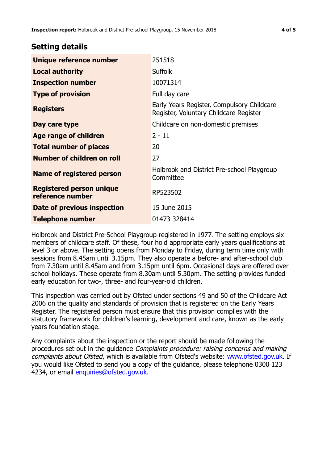## **Setting details**

| Unique reference number                             | 251518                                                                               |  |
|-----------------------------------------------------|--------------------------------------------------------------------------------------|--|
| <b>Local authority</b>                              | <b>Suffolk</b>                                                                       |  |
| <b>Inspection number</b>                            | 10071314                                                                             |  |
| <b>Type of provision</b>                            | Full day care                                                                        |  |
| <b>Registers</b>                                    | Early Years Register, Compulsory Childcare<br>Register, Voluntary Childcare Register |  |
| Day care type                                       | Childcare on non-domestic premises                                                   |  |
| Age range of children                               | $2 - 11$                                                                             |  |
| <b>Total number of places</b>                       | 20                                                                                   |  |
| Number of children on roll                          | 27                                                                                   |  |
| <b>Name of registered person</b>                    | Holbrook and District Pre-school Playgroup<br>Committee                              |  |
| <b>Registered person unique</b><br>reference number | RP523502                                                                             |  |
| <b>Date of previous inspection</b>                  | 15 June 2015                                                                         |  |
| Telephone number                                    | 01473 328414                                                                         |  |

Holbrook and District Pre-School Playgroup registered in 1977. The setting employs six members of childcare staff. Of these, four hold appropriate early years qualifications at level 3 or above. The setting opens from Monday to Friday, during term time only with sessions from 8.45am until 3.15pm. They also operate a before- and after-school club from 7.30am until 8.45am and from 3.15pm until 6pm. Occasional days are offered over school holidays. These operate from 8.30am until 5.30pm. The setting provides funded early education for two-, three- and four-year-old children.

This inspection was carried out by Ofsted under sections 49 and 50 of the Childcare Act 2006 on the quality and standards of provision that is registered on the Early Years Register. The registered person must ensure that this provision complies with the statutory framework for children's learning, development and care, known as the early years foundation stage.

Any complaints about the inspection or the report should be made following the procedures set out in the guidance Complaints procedure: raising concerns and making complaints about Ofsted, which is available from Ofsted's website: www.ofsted.gov.uk. If you would like Ofsted to send you a copy of the guidance, please telephone 0300 123 4234, or email [enquiries@ofsted.gov.uk.](mailto:enquiries@ofsted.gov.uk)